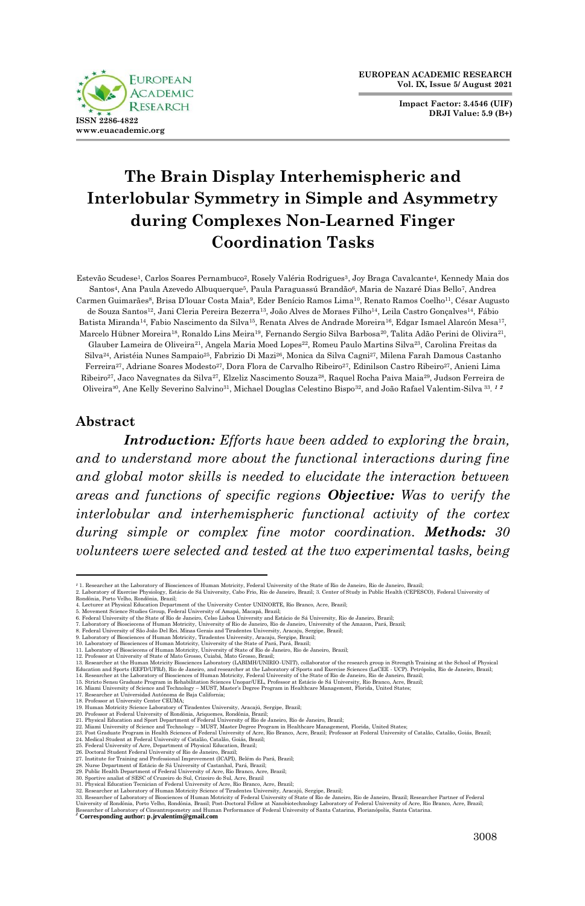**Impact Factor: 3.4546 (UIF) DRJI Value: 5.9 (B+)**



# **The Brain Display Interhemispheric and Interlobular Symmetry in Simple and Asymmetry during Complexes Non-Learned Finger Coordination Tasks**

Estevão Scudese1, Carlos Soares Pernambuco2, Rosely Valéria Rodrigues3, Joy Braga Cavalcante4, Kennedy Maia dos Santos4, Ana Paula Azevedo Albuquerque5, Paula Paraguassú Brandão6, Maria de Nazaré Dias Bello7, Andrea Carmen Guimarães8, Brisa D'louar Costa Maia9, Eder Benício Ramos Lima10, Renato Ramos Coelho11, César Augusto de Souza Santos12, Jani Cleria Pereira Bezerra13, João Alves de Moraes Filho14, Leila Castro Gonçalves14, Fábio Batista Miranda14, Fabio Nascimento da Silva15, Renata Alves de Andrade Moreira16, Edgar Ismael Alarcón Mesa17, Marcelo Hübner Moreira18, Ronaldo Lins Meira19, Fernando Sergio Silva Barbosa20, Talita Adão Perini de Olivira21, Glauber Lameira de Oliveira21, Angela Maria Moed Lopes22, Romeu Paulo Martins Silva23, Carolina Freitas da Silva24, Aristéia Nunes Sampaio25, Fabrizio Di Mazi26, Monica da Silva Cagni27, Milena Farah Damous Castanho Ferreira27, Adriane Soares Modesto27, Dora Flora de Carvalho Ribeiro27, Edinilson Castro Ribeiro27, Anieni Lima Ribeiro27, Jaco Navegnates da Silva27, Elzeliz Nascimento Souza28, Raquel Rocha Paiva Maia29, Judson Ferreira de Oliveira³0, Ane Kelly Severino Salvino31, Michael Douglas Celestino Bispo32, and João Rafael Valentim-Silva <sup>33</sup>. *1 2*

#### **Abstract**

*Introduction: Efforts have been added to exploring the brain, and to understand more about the functional interactions during fine and global motor skills is needed to elucidate the interaction between areas and functions of specific regions Objective: Was to verify the interlobular and interhemispheric functional activity of the cortex during simple or complex fine motor coordination. Methods: 30 volunteers were selected and tested at the two experimental tasks, being* 

29. Publie Health Department of Federal University of Acre, Rio Franco, Acre, Brazil;<br>20. Sportive analist of SESC of Cruzeiro do Sul, Crizeiro do Sul, Arre, Brazil;<br>30. Sportive analist of SESC of Cruzeiro do Sul, Crizeir

<sup>&</sup>lt;sup>1</sup> 1. Researcher at the Laboratory of Biosciences of Human Motricity. Federal University of the State of Rio de Janeiro, Rio de Janeiro, Brazil;<br>2. Laboratory of Exercise Physiology, Estácio de Sá University, Cabo Frio, R

<sup>5.</sup> Movement Science Studies Group, Pederal University of Amapá, Maeapá, Brazil, els dederal University of the State of Rio de Janeiro, Cleas Lisbo allowersity and Estácio de Sá University. Rio de Janeiro, Brazil; 7. Labora

<sup>12.</sup> Professor at University of State of Mato Grosso, Cuiabá, Mato Grosso, Brasil;<br>13. Researcher at the Human Motricity Biosciences Laboratory (LABIMH/UNIRIO-UNIT), collaborator of the research group in Strength Training a

Education and Sports (EEFD/UFRD), Rio de Janeiro, and researcher at the Laboratory of Sports and Excertise Sciencess of (AccEE - UCP). Petropolis, Rio de Janeiro, Brazil; 13. Rioted States of Human Motricity, Federal Unive

<sup>21.</sup> Physical Education and Sport Department of Federal University of Rio de Janeiro, Rio de Janeiro, Brazil;<br>22. Miami University of Science and Technology – MUST. Master Degree Program in Healthcare Management, Florida, U

<sup>28.</sup> Nurse Department of Estácio de Sá University of Castanhal, Pará, Brazil;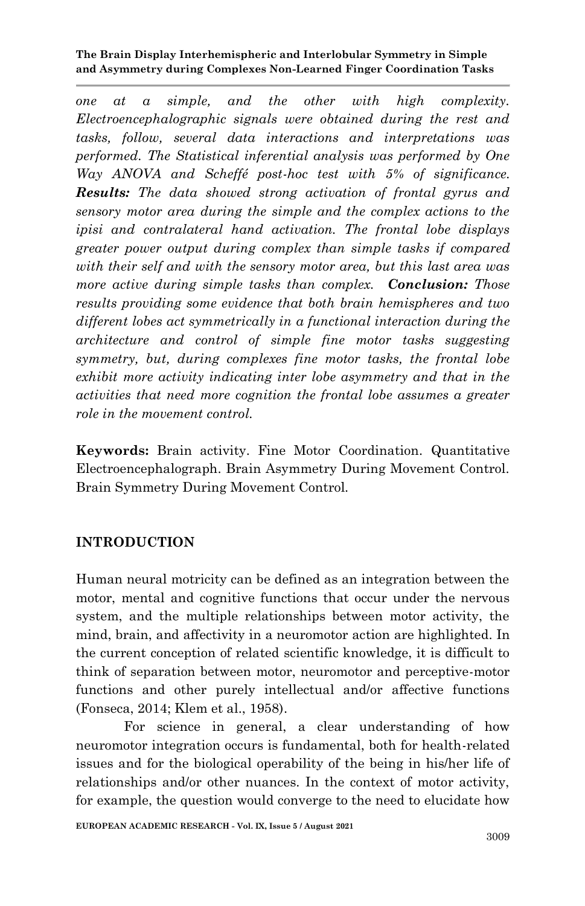*one at a simple, and the other with high complexity. Electroencephalographic signals were obtained during the rest and tasks, follow, several data interactions and interpretations was performed. The Statistical inferential analysis was performed by One Way ANOVA and Scheffé post-hoc test with 5% of significance. Results: The data showed strong activation of frontal gyrus and sensory motor area during the simple and the complex actions to the ipisi and contralateral hand activation. The frontal lobe displays greater power output during complex than simple tasks if compared with their self and with the sensory motor area, but this last area was more active during simple tasks than complex. Conclusion: Those results providing some evidence that both brain hemispheres and two different lobes act symmetrically in a functional interaction during the architecture and control of simple fine motor tasks suggesting symmetry, but, during complexes fine motor tasks, the frontal lobe exhibit more activity indicating inter lobe asymmetry and that in the activities that need more cognition the frontal lobe assumes a greater role in the movement control.*

**Keywords:** Brain activity. Fine Motor Coordination. Quantitative Electroencephalograph. Brain Asymmetry During Movement Control. Brain Symmetry During Movement Control.

## **INTRODUCTION**

Human neural motricity can be defined as an integration between the motor, mental and cognitive functions that occur under the nervous system, and the multiple relationships between motor activity, the mind, brain, and affectivity in a neuromotor action are highlighted. In the current conception of related scientific knowledge, it is difficult to think of separation between motor, neuromotor and perceptive-motor functions and other purely intellectual and/or affective functions (Fonseca, 2014; Klem et al., 1958).

For science in general, a clear understanding of how neuromotor integration occurs is fundamental, both for health-related issues and for the biological operability of the being in his/her life of relationships and/or other nuances. In the context of motor activity, for example, the question would converge to the need to elucidate how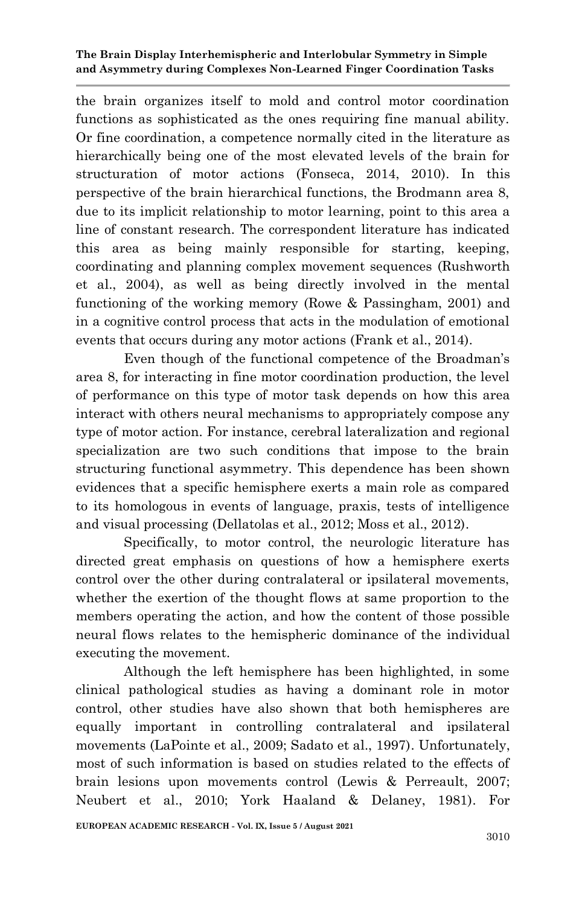the brain organizes itself to mold and control motor coordination functions as sophisticated as the ones requiring fine manual ability. Or fine coordination, a competence normally cited in the literature as hierarchically being one of the most elevated levels of the brain for structuration of motor actions (Fonseca, 2014, 2010). In this perspective of the brain hierarchical functions, the Brodmann area 8, due to its implicit relationship to motor learning, point to this area a line of constant research. The correspondent literature has indicated this area as being mainly responsible for starting, keeping, coordinating and planning complex movement sequences (Rushworth et al., 2004), as well as being directly involved in the mental functioning of the working memory (Rowe & Passingham, 2001) and in a cognitive control process that acts in the modulation of emotional events that occurs during any motor actions (Frank et al., 2014).

Even though of the functional competence of the Broadman's area 8, for interacting in fine motor coordination production, the level of performance on this type of motor task depends on how this area interact with others neural mechanisms to appropriately compose any type of motor action. For instance, cerebral lateralization and regional specialization are two such conditions that impose to the brain structuring functional asymmetry. This dependence has been shown evidences that a specific hemisphere exerts a main role as compared to its homologous in events of language, praxis, tests of intelligence and visual processing (Dellatolas et al., 2012; Moss et al., 2012).

Specifically, to motor control, the neurologic literature has directed great emphasis on questions of how a hemisphere exerts control over the other during contralateral or ipsilateral movements, whether the exertion of the thought flows at same proportion to the members operating the action, and how the content of those possible neural flows relates to the hemispheric dominance of the individual executing the movement.

Although the left hemisphere has been highlighted, in some clinical pathological studies as having a dominant role in motor control, other studies have also shown that both hemispheres are equally important in controlling contralateral and ipsilateral movements (LaPointe et al., 2009; Sadato et al., 1997). Unfortunately, most of such information is based on studies related to the effects of brain lesions upon movements control (Lewis & Perreault, 2007; Neubert et al., 2010; York Haaland & Delaney, 1981). For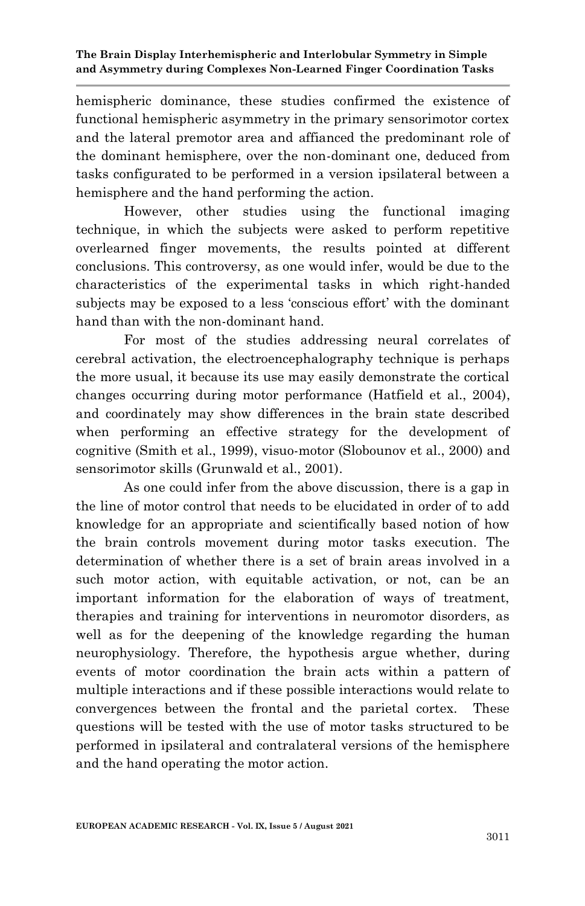hemispheric dominance, these studies confirmed the existence of functional hemispheric asymmetry in the primary sensorimotor cortex and the lateral premotor area and affianced the predominant role of the dominant hemisphere, over the non-dominant one, deduced from tasks configurated to be performed in a version ipsilateral between a hemisphere and the hand performing the action.

However, other studies using the functional imaging technique, in which the subjects were asked to perform repetitive overlearned finger movements, the results pointed at different conclusions. This controversy, as one would infer, would be due to the characteristics of the experimental tasks in which right-handed subjects may be exposed to a less 'conscious effort' with the dominant hand than with the non-dominant hand.

For most of the studies addressing neural correlates of cerebral activation, the electroencephalography technique is perhaps the more usual, it because its use may easily demonstrate the cortical changes occurring during motor performance (Hatfield et al., 2004), and coordinately may show differences in the brain state described when performing an effective strategy for the development of cognitive (Smith et al., 1999), visuo-motor (Slobounov et al., 2000) and sensorimotor skills (Grunwald et al., 2001).

As one could infer from the above discussion, there is a gap in the line of motor control that needs to be elucidated in order of to add knowledge for an appropriate and scientifically based notion of how the brain controls movement during motor tasks execution. The determination of whether there is a set of brain areas involved in a such motor action, with equitable activation, or not, can be an important information for the elaboration of ways of treatment, therapies and training for interventions in neuromotor disorders, as well as for the deepening of the knowledge regarding the human neurophysiology. Therefore, the hypothesis argue whether, during events of motor coordination the brain acts within a pattern of multiple interactions and if these possible interactions would relate to convergences between the frontal and the parietal cortex. These questions will be tested with the use of motor tasks structured to be performed in ipsilateral and contralateral versions of the hemisphere and the hand operating the motor action.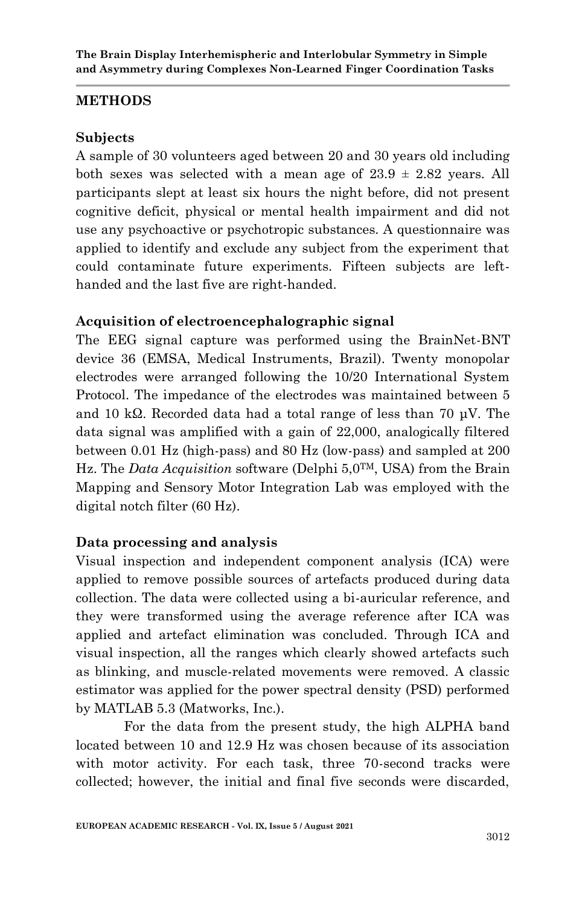### **METHODS**

### **Subjects**

A sample of 30 volunteers aged between 20 and 30 years old including both sexes was selected with a mean age of  $23.9 \pm 2.82$  years. All participants slept at least six hours the night before, did not present cognitive deficit, physical or mental health impairment and did not use any psychoactive or psychotropic substances. A questionnaire was applied to identify and exclude any subject from the experiment that could contaminate future experiments. Fifteen subjects are lefthanded and the last five are right-handed.

## **Acquisition of electroencephalographic signal**

The EEG signal capture was performed using the BrainNet-BNT device 36 (EMSA, Medical Instruments, Brazil). Twenty monopolar electrodes were arranged following the 10/20 International System Protocol. The impedance of the electrodes was maintained between 5 and 10 kΩ. Recorded data had a total range of less than 70 μV. The data signal was amplified with a gain of 22,000, analogically filtered between 0.01 Hz (high-pass) and 80 Hz (low-pass) and sampled at 200 Hz. The *Data Acquisition* software (Delphi 5,0TM, USA) from the Brain Mapping and Sensory Motor Integration Lab was employed with the digital notch filter (60 Hz).

### **Data processing and analysis**

Visual inspection and independent component analysis (ICA) were applied to remove possible sources of artefacts produced during data collection. The data were collected using a bi-auricular reference, and they were transformed using the average reference after ICA was applied and artefact elimination was concluded. Through ICA and visual inspection, all the ranges which clearly showed artefacts such as blinking, and muscle-related movements were removed. A classic estimator was applied for the power spectral density (PSD) performed by MATLAB 5.3 (Matworks, Inc.).

For the data from the present study, the high ALPHA band located between 10 and 12.9 Hz was chosen because of its association with motor activity. For each task, three 70-second tracks were collected; however, the initial and final five seconds were discarded,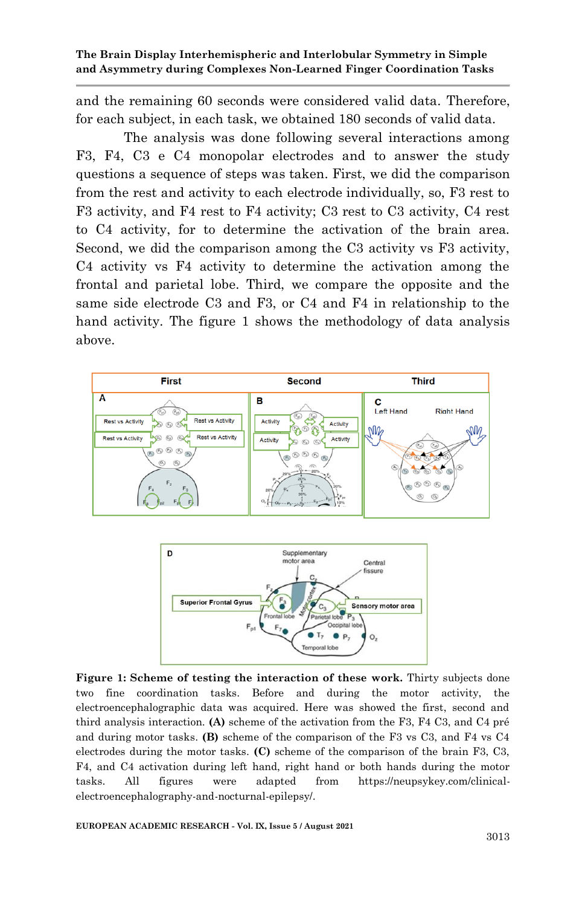and the remaining 60 seconds were considered valid data. Therefore, for each subject, in each task, we obtained 180 seconds of valid data.

The analysis was done following several interactions among F3, F4, C3 e C4 monopolar electrodes and to answer the study questions a sequence of steps was taken. First, we did the comparison from the rest and activity to each electrode individually, so, F3 rest to F3 activity, and F4 rest to F4 activity; C3 rest to C3 activity, C4 rest to C4 activity, for to determine the activation of the brain area. Second, we did the comparison among the C3 activity vs F3 activity, C4 activity vs F4 activity to determine the activation among the frontal and parietal lobe. Third, we compare the opposite and the same side electrode C3 and F3, or C4 and F4 in relationship to the hand activity. The figure 1 shows the methodology of data analysis above.





**Figure 1: Scheme of testing the interaction of these work.** Thirty subjects done two fine coordination tasks. Before and during the motor activity, the electroencephalographic data was acquired. Here was showed the first, second and third analysis interaction. **(A)** scheme of the activation from the F3, F4 C3, and C4 pré and during motor tasks. **(B)** scheme of the comparison of the F3 vs C3, and F4 vs C4 electrodes during the motor tasks. **(C)** scheme of the comparison of the brain F3, C3, F4, and C4 activation during left hand, right hand or both hands during the motor tasks. All figures were adapted from https://neupsykey.com/clinicalelectroencephalography-and-nocturnal-epilepsy/.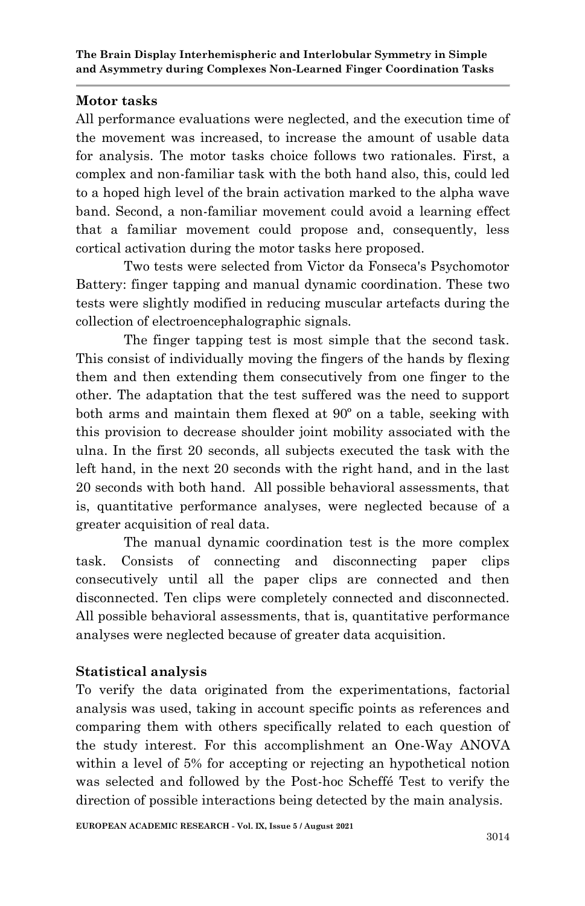## **Motor tasks**

All performance evaluations were neglected, and the execution time of the movement was increased, to increase the amount of usable data for analysis. The motor tasks choice follows two rationales. First, a complex and non-familiar task with the both hand also, this, could led to a hoped high level of the brain activation marked to the alpha wave band. Second, a non-familiar movement could avoid a learning effect that a familiar movement could propose and, consequently, less cortical activation during the motor tasks here proposed.

Two tests were selected from Victor da Fonseca's Psychomotor Battery: finger tapping and manual dynamic coordination. These two tests were slightly modified in reducing muscular artefacts during the collection of electroencephalographic signals.

The finger tapping test is most simple that the second task. This consist of individually moving the fingers of the hands by flexing them and then extending them consecutively from one finger to the other. The adaptation that the test suffered was the need to support both arms and maintain them flexed at 90º on a table, seeking with this provision to decrease shoulder joint mobility associated with the ulna. In the first 20 seconds, all subjects executed the task with the left hand, in the next 20 seconds with the right hand, and in the last 20 seconds with both hand. All possible behavioral assessments, that is, quantitative performance analyses, were neglected because of a greater acquisition of real data.

The manual dynamic coordination test is the more complex task. Consists of connecting and disconnecting paper clips consecutively until all the paper clips are connected and then disconnected. Ten clips were completely connected and disconnected. All possible behavioral assessments, that is, quantitative performance analyses were neglected because of greater data acquisition.

## **Statistical analysis**

To verify the data originated from the experimentations, factorial analysis was used, taking in account specific points as references and comparing them with others specifically related to each question of the study interest. For this accomplishment an One-Way ANOVA within a level of 5% for accepting or rejecting an hypothetical notion was selected and followed by the Post-hoc Scheffé Test to verify the direction of possible interactions being detected by the main analysis.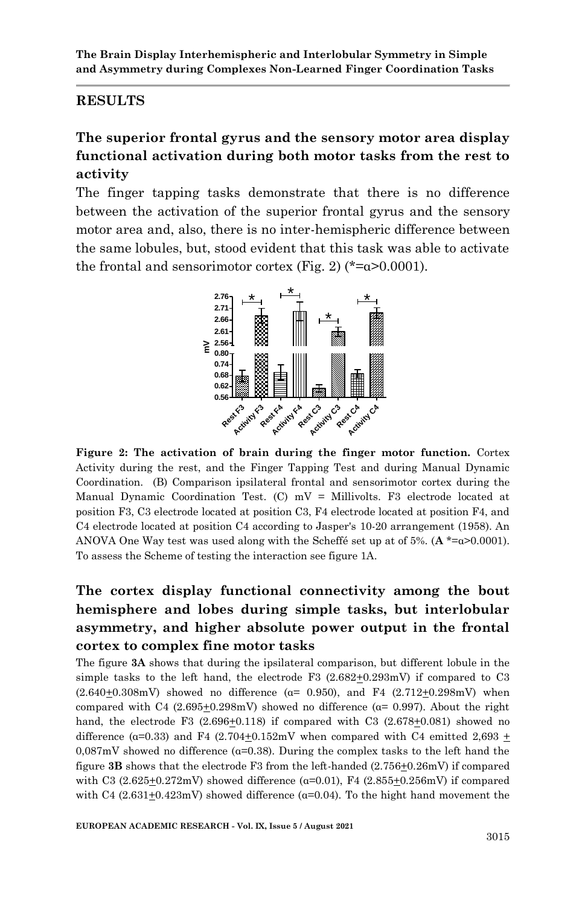#### **RESULTS**

## **The superior frontal gyrus and the sensory motor area display functional activation during both motor tasks from the rest to activity**

The finger tapping tasks demonstrate that there is no difference between the activation of the superior frontal gyrus and the sensory motor area and, also, there is no inter-hemispheric difference between the same lobules, but, stood evident that this task was able to activate the frontal and sensorimotor cortex (Fig. 2) ( $*=\alpha$ >0.0001).



**Figure 2: The activation of brain during the finger motor function.** Cortex Activity during the rest, and the Finger Tapping Test and during Manual Dynamic Coordination. (B) Comparison ipsilateral frontal and sensorimotor cortex during the Manual Dynamic Coordination Test. (C)  $mV =$  Millivolts. F3 electrode located at position F3, C3 electrode located at position C3, F4 electrode located at position F4, and C4 electrode located at position C4 according to Jasper's 10-20 arrangement (1958). An ANOVA One Way test was used along with the Scheffé set up at of 5%. (**A** \*=α>0.0001). To assess the Scheme of testing the interaction see figure 1A.

## **The cortex display functional connectivity among the bout hemisphere and lobes during simple tasks, but interlobular asymmetry, and higher absolute power output in the frontal cortex to complex fine motor tasks**

The figure **3A** shows that during the ipsilateral comparison, but different lobule in the simple tasks to the left hand, the electrode F3  $(2.682 \pm 0.293 \text{mV})$  if compared to C3  $(2.640+0.308mV)$  showed no difference ( $\alpha$ = 0.950), and F4 (2.712+0.298mV) when compared with C4 (2.695 $\pm$ 0.298mV) showed no difference ( $\alpha$ = 0.997). About the right hand, the electrode F3  $(2.696+0.118)$  if compared with C3  $(2.678+0.081)$  showed no difference ( $\alpha$ =0.33) and F4 (2.704 $\pm$ 0.152mV when compared with C4 emitted 2,693  $\pm$  $0.087$ mV showed no difference ( $\alpha$ =0.38). During the complex tasks to the left hand the figure 3B shows that the electrode F3 from the left-handed (2.756 $\pm$ 0.26mV) if compared with C3  $(2.625+0.272mV)$  showed difference  $(a=0.01)$ , F4  $(2.855+0.256mV)$  if compared with C4  $(2.631 \pm 0.423 \text{mV})$  showed difference ( $\alpha$ =0.04). To the hight hand movement the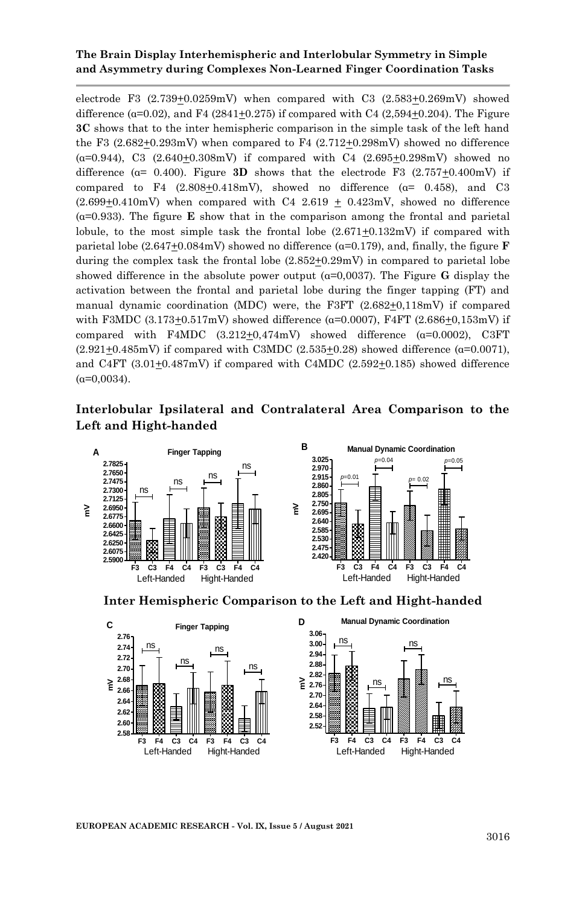electrode F3 (2.739+0.0259mV) when compared with C3 (2.583+0.269mV) showed difference  $(a=0.02)$ , and F4 (2841+0.275) if compared with C4 (2,594+0.204). The Figure **3C** shows that to the inter hemispheric comparison in the simple task of the left hand the F3  $(2.682\pm0.293mV)$  when compared to F4  $(2.712\pm0.298mV)$  showed no difference  $(a=0.944)$ , C3  $(2.640+0.308mV)$  if compared with C4  $(2.695+0.298mV)$  showed no difference  $(a= 0.400)$ . Figure **3D** shows that the electrode F3  $(2.757+0.400 \text{mV})$  if compared to F4  $(2.808+0.418mV)$ , showed no difference  $(a= 0.458)$ , and C3  $(2.699\pm0.410\text{mV})$  when compared with C4 2.619  $\pm$  0.423mV, showed no difference  $(a=0.933)$ . The figure **E** show that in the comparison among the frontal and parietal lobule, to the most simple task the frontal lobe  $(2.671+0.132mV)$  if compared with parietal lobe  $(2.647+0.084mV)$  showed no difference  $(α=0.179)$ , and, finally, the figure **F** during the complex task the frontal lobe  $(2.852\pm0.29\text{mV})$  in compared to parietal lobe showed difference in the absolute power output  $(a=0,0037)$ . The Figure **G** display the activation between the frontal and parietal lobe during the finger tapping (FT) and manual dynamic coordination (MDC) were, the F3FT (2.682+0,118mV) if compared with F3MDC  $(3.173+0.517mV)$  showed difference ( $\alpha$ =0.0007), F4FT  $(2.686+0.153mV)$  if compared with F4MDC  $(3.212+0.474mV)$  showed difference  $(a=0.0002)$ , C3FT  $(2.921+0.485mV)$  if compared with C3MDC  $(2.535+0.28)$  showed difference ( $\alpha=0.0071$ ), and C4FT  $(3.01\pm0.487\text{mV})$  if compared with C4MDC  $(2.592\pm0.185)$  showed difference  $(α=0.0034)$ .

#### **Interlobular Ipsilateral and Contralateral Area Comparison to the Left and Hight-handed**







**EUROPEAN ACADEMIC RESEARCH - Vol. IX, Issue 5 / August 2021**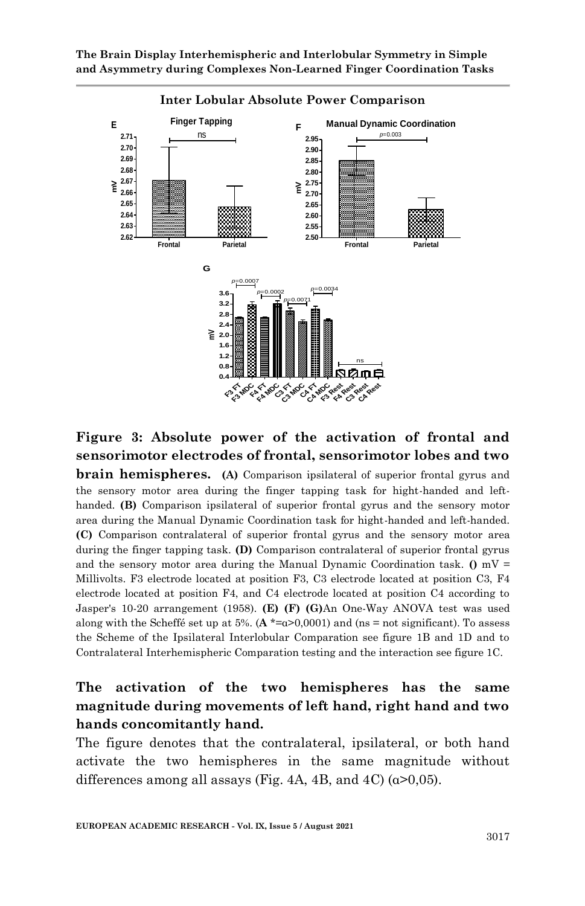**The Brain Display Interhemispheric and Interlobular Symmetry in Simple and Asymmetry during Complexes Non-Learned Finger Coordination Tasks**



## **Figure 3: Absolute power of the activation of frontal and sensorimotor electrodes of frontal, sensorimotor lobes and two**

**brain hemispheres.** (A) Comparison ipsilateral of superior frontal gyrus and the sensory motor area during the finger tapping task for hight-handed and lefthanded. **(B)** Comparison ipsilateral of superior frontal gyrus and the sensory motor area during the Manual Dynamic Coordination task for hight-handed and left-handed. **(C)** Comparison contralateral of superior frontal gyrus and the sensory motor area during the finger tapping task. **(D)** Comparison contralateral of superior frontal gyrus and the sensory motor area during the Manual Dynamic Coordination task.  $($ **)** mV = Millivolts. F3 electrode located at position F3, C3 electrode located at position C3, F4 electrode located at position F4, and C4 electrode located at position C4 according to Jasper's 10-20 arrangement (1958). **(E) (F) (G)**An One-Way ANOVA test was used along with the Scheffé set up at 5%.  $(A * = a > 0.0001)$  and (ns = not significant). To assess the Scheme of the Ipsilateral Interlobular Comparation see figure 1B and 1D and to Contralateral Interhemispheric Comparation testing and the interaction see figure 1C.

## **The activation of the two hemispheres has the same magnitude during movements of left hand, right hand and two hands concomitantly hand.**

The figure denotes that the contralateral, ipsilateral, or both hand activate the two hemispheres in the same magnitude without differences among all assays (Fig. 4A, 4B, and 4C) ( $\alpha$ >0,05).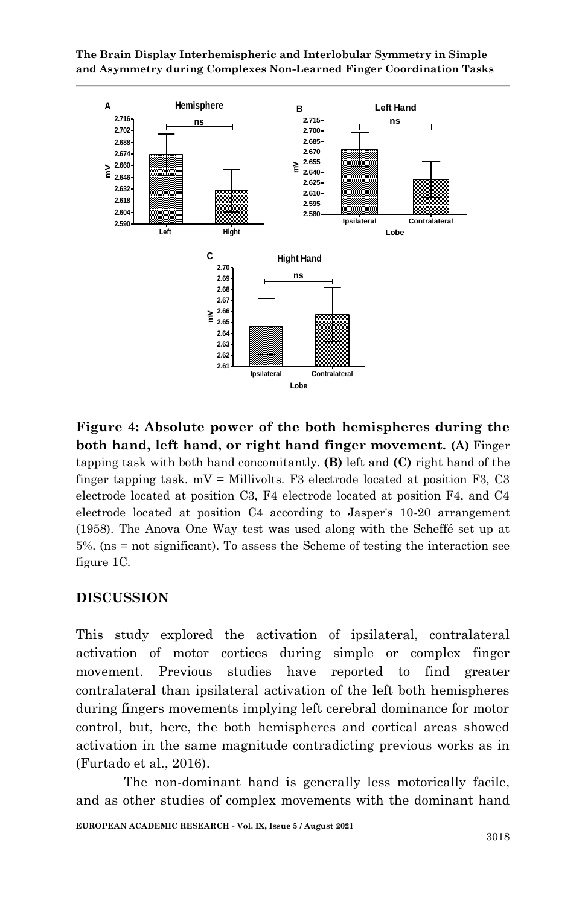**The Brain Display Interhemispheric and Interlobular Symmetry in Simple and Asymmetry during Complexes Non-Learned Finger Coordination Tasks**



**Figure 4: Absolute power of the both hemispheres during the both hand, left hand, or right hand finger movement. (A)** Finger tapping task with both hand concomitantly. **(B)** left and **(C)** right hand of the finger tapping task.  $mV =$  Millivolts. F3 electrode located at position F3, C3 electrode located at position C3, F4 electrode located at position F4, and C4 electrode located at position C4 according to Jasper's 10-20 arrangement (1958). The Anova One Way test was used along with the Scheffé set up at 5%. (ns = not significant). To assess the Scheme of testing the interaction see figure 1C.

### **DISCUSSION**

This study explored the activation of ipsilateral, contralateral activation of motor cortices during simple or complex finger movement. Previous studies have reported to find greater contralateral than ipsilateral activation of the left both hemispheres during fingers movements implying left cerebral dominance for motor control, but, here, the both hemispheres and cortical areas showed activation in the same magnitude contradicting previous works as in (Furtado et al., 2016).

The non-dominant hand is generally less motorically facile, and as other studies of complex movements with the dominant hand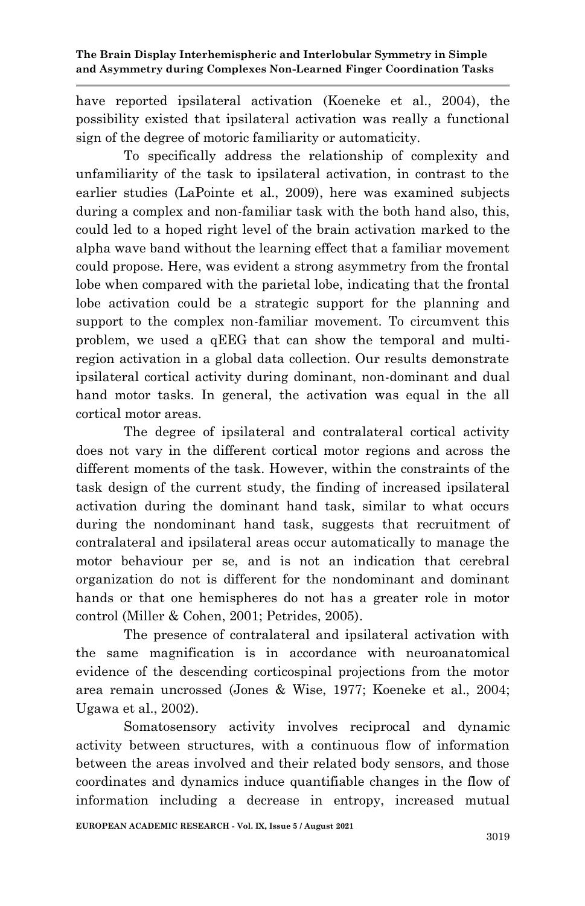have reported ipsilateral activation (Koeneke et al., 2004), the possibility existed that ipsilateral activation was really a functional sign of the degree of motoric familiarity or automaticity.

To specifically address the relationship of complexity and unfamiliarity of the task to ipsilateral activation, in contrast to the earlier studies (LaPointe et al., 2009), here was examined subjects during a complex and non-familiar task with the both hand also, this, could led to a hoped right level of the brain activation marked to the alpha wave band without the learning effect that a familiar movement could propose. Here, was evident a strong asymmetry from the frontal lobe when compared with the parietal lobe, indicating that the frontal lobe activation could be a strategic support for the planning and support to the complex non-familiar movement. To circumvent this problem, we used a qEEG that can show the temporal and multiregion activation in a global data collection. Our results demonstrate ipsilateral cortical activity during dominant, non-dominant and dual hand motor tasks. In general, the activation was equal in the all cortical motor areas.

The degree of ipsilateral and contralateral cortical activity does not vary in the different cortical motor regions and across the different moments of the task. However, within the constraints of the task design of the current study, the finding of increased ipsilateral activation during the dominant hand task, similar to what occurs during the nondominant hand task, suggests that recruitment of contralateral and ipsilateral areas occur automatically to manage the motor behaviour per se, and is not an indication that cerebral organization do not is different for the nondominant and dominant hands or that one hemispheres do not has a greater role in motor control (Miller & Cohen, 2001; Petrides, 2005).

The presence of contralateral and ipsilateral activation with the same magnification is in accordance with neuroanatomical evidence of the descending corticospinal projections from the motor area remain uncrossed (Jones & Wise, 1977; Koeneke et al., 2004; Ugawa et al., 2002).

Somatosensory activity involves reciprocal and dynamic activity between structures, with a continuous flow of information between the areas involved and their related body sensors, and those coordinates and dynamics induce quantifiable changes in the flow of information including a decrease in entropy, increased mutual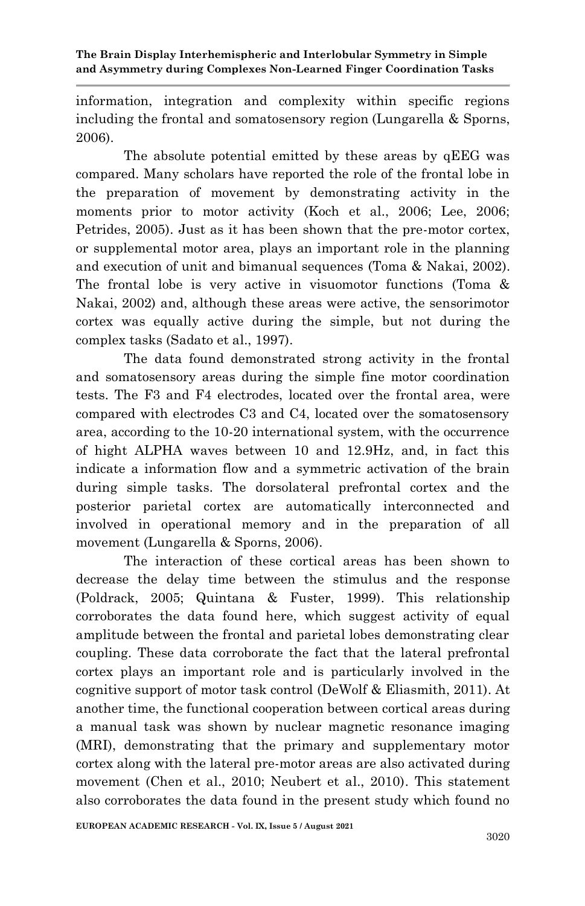information, integration and complexity within specific regions including the frontal and somatosensory region (Lungarella & Sporns, 2006).

The absolute potential emitted by these areas by qEEG was compared. Many scholars have reported the role of the frontal lobe in the preparation of movement by demonstrating activity in the moments prior to motor activity (Koch et al., 2006; Lee, 2006; Petrides, 2005). Just as it has been shown that the pre-motor cortex, or supplemental motor area, plays an important role in the planning and execution of unit and bimanual sequences (Toma & Nakai, 2002). The frontal lobe is very active in visuomotor functions (Toma & Nakai, 2002) and, although these areas were active, the sensorimotor cortex was equally active during the simple, but not during the complex tasks (Sadato et al., 1997).

The data found demonstrated strong activity in the frontal and somatosensory areas during the simple fine motor coordination tests. The F3 and F4 electrodes, located over the frontal area, were compared with electrodes C3 and C4, located over the somatosensory area, according to the 10-20 international system, with the occurrence of hight ALPHA waves between 10 and 12.9Hz, and, in fact this indicate a information flow and a symmetric activation of the brain during simple tasks. The dorsolateral prefrontal cortex and the posterior parietal cortex are automatically interconnected and involved in operational memory and in the preparation of all movement (Lungarella & Sporns, 2006).

The interaction of these cortical areas has been shown to decrease the delay time between the stimulus and the response (Poldrack, 2005; Quintana & Fuster, 1999). This relationship corroborates the data found here, which suggest activity of equal amplitude between the frontal and parietal lobes demonstrating clear coupling. These data corroborate the fact that the lateral prefrontal cortex plays an important role and is particularly involved in the cognitive support of motor task control (DeWolf & Eliasmith, 2011). At another time, the functional cooperation between cortical areas during a manual task was shown by nuclear magnetic resonance imaging (MRI), demonstrating that the primary and supplementary motor cortex along with the lateral pre-motor areas are also activated during movement (Chen et al., 2010; Neubert et al., 2010). This statement also corroborates the data found in the present study which found no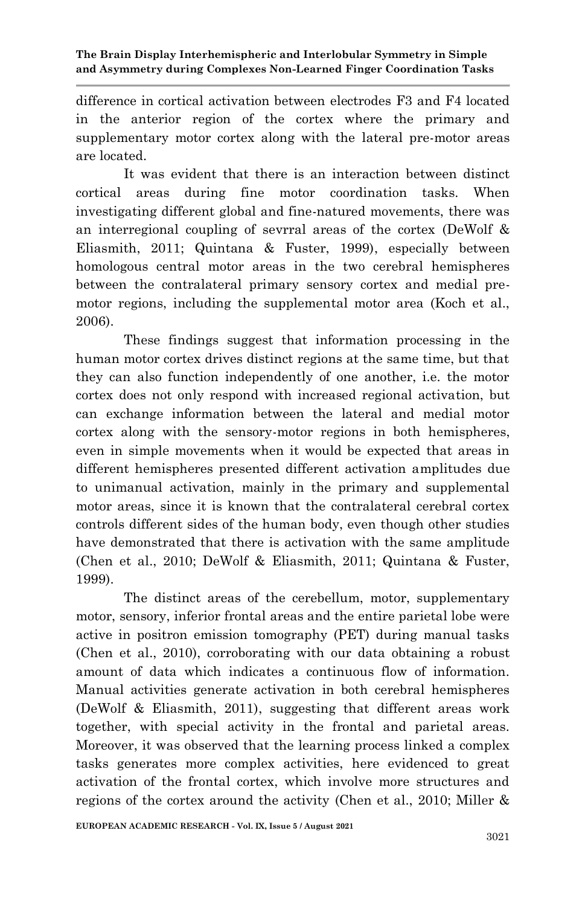difference in cortical activation between electrodes F3 and F4 located in the anterior region of the cortex where the primary and supplementary motor cortex along with the lateral pre-motor areas are located.

It was evident that there is an interaction between distinct cortical areas during fine motor coordination tasks. When investigating different global and fine-natured movements, there was an interregional coupling of sevrral areas of the cortex (DeWolf & Eliasmith, 2011; Quintana & Fuster, 1999), especially between homologous central motor areas in the two cerebral hemispheres between the contralateral primary sensory cortex and medial premotor regions, including the supplemental motor area (Koch et al., 2006).

These findings suggest that information processing in the human motor cortex drives distinct regions at the same time, but that they can also function independently of one another, i.e. the motor cortex does not only respond with increased regional activation, but can exchange information between the lateral and medial motor cortex along with the sensory-motor regions in both hemispheres, even in simple movements when it would be expected that areas in different hemispheres presented different activation amplitudes due to unimanual activation, mainly in the primary and supplemental motor areas, since it is known that the contralateral cerebral cortex controls different sides of the human body, even though other studies have demonstrated that there is activation with the same amplitude (Chen et al., 2010; DeWolf & Eliasmith, 2011; Quintana & Fuster, 1999).

The distinct areas of the cerebellum, motor, supplementary motor, sensory, inferior frontal areas and the entire parietal lobe were active in positron emission tomography (PET) during manual tasks (Chen et al., 2010), corroborating with our data obtaining a robust amount of data which indicates a continuous flow of information. Manual activities generate activation in both cerebral hemispheres (DeWolf & Eliasmith, 2011), suggesting that different areas work together, with special activity in the frontal and parietal areas. Moreover, it was observed that the learning process linked a complex tasks generates more complex activities, here evidenced to great activation of the frontal cortex, which involve more structures and regions of the cortex around the activity (Chen et al., 2010; Miller &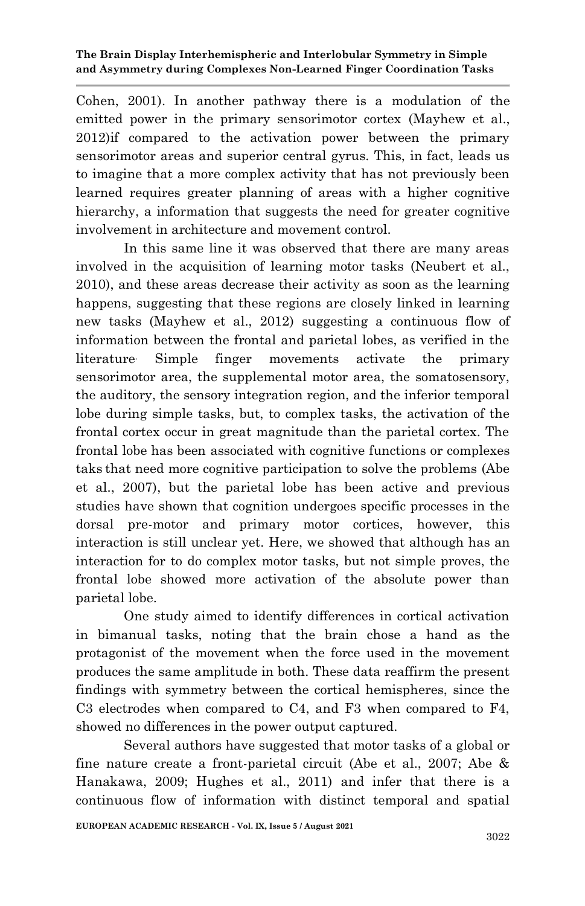Cohen, 2001). In another pathway there is a modulation of the emitted power in the primary sensorimotor cortex (Mayhew et al., 2012)if compared to the activation power between the primary sensorimotor areas and superior central gyrus. This, in fact, leads us to imagine that a more complex activity that has not previously been learned requires greater planning of areas with a higher cognitive hierarchy, a information that suggests the need for greater cognitive involvement in architecture and movement control.

In this same line it was observed that there are many areas involved in the acquisition of learning motor tasks (Neubert et al., 2010), and these areas decrease their activity as soon as the learning happens, suggesting that these regions are closely linked in learning new tasks (Mayhew et al., 2012) suggesting a continuous flow of information between the frontal and parietal lobes, as verified in the literature. Simple finger movements activate the primary sensorimotor area, the supplemental motor area, the somatosensory, the auditory, the sensory integration region, and the inferior temporal lobe during simple tasks, but, to complex tasks, the activation of the frontal cortex occur in great magnitude than the parietal cortex. The frontal lobe has been associated with cognitive functions or complexes taks that need more cognitive participation to solve the problems (Abe et al., 2007), but the parietal lobe has been active and previous studies have shown that cognition undergoes specific processes in the dorsal pre-motor and primary motor cortices, however, this interaction is still unclear yet. Here, we showed that although has an interaction for to do complex motor tasks, but not simple proves, the frontal lobe showed more activation of the absolute power than parietal lobe.

One study aimed to identify differences in cortical activation in bimanual tasks, noting that the brain chose a hand as the protagonist of the movement when the force used in the movement produces the same amplitude in both. These data reaffirm the present findings with symmetry between the cortical hemispheres, since the C3 electrodes when compared to C4, and F3 when compared to F4, showed no differences in the power output captured.

Several authors have suggested that motor tasks of a global or fine nature create a front-parietal circuit (Abe et al., 2007; Abe & Hanakawa, 2009; Hughes et al., 2011) and infer that there is a continuous flow of information with distinct temporal and spatial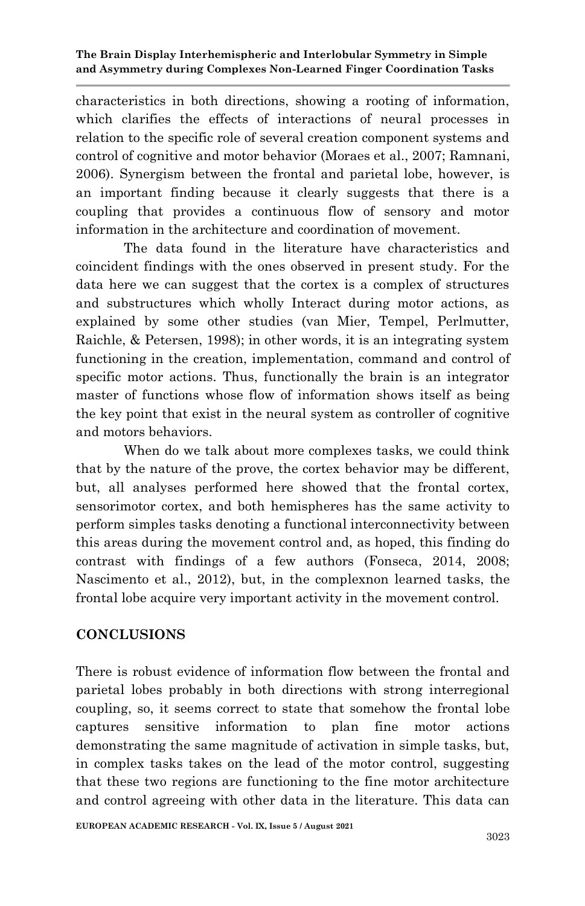characteristics in both directions, showing a rooting of information, which clarifies the effects of interactions of neural processes in relation to the specific role of several creation component systems and control of cognitive and motor behavior (Moraes et al., 2007; Ramnani, 2006). Synergism between the frontal and parietal lobe, however, is an important finding because it clearly suggests that there is a coupling that provides a continuous flow of sensory and motor information in the architecture and coordination of movement.

The data found in the literature have characteristics and coincident findings with the ones observed in present study. For the data here we can suggest that the cortex is a complex of structures and substructures which wholly Interact during motor actions, as explained by some other studies (van Mier, Tempel, Perlmutter, Raichle, & Petersen, 1998); in other words, it is an integrating system functioning in the creation, implementation, command and control of specific motor actions. Thus, functionally the brain is an integrator master of functions whose flow of information shows itself as being the key point that exist in the neural system as controller of cognitive and motors behaviors.

When do we talk about more complexes tasks, we could think that by the nature of the prove, the cortex behavior may be different, but, all analyses performed here showed that the frontal cortex, sensorimotor cortex, and both hemispheres has the same activity to perform simples tasks denoting a functional interconnectivity between this areas during the movement control and, as hoped, this finding do contrast with findings of a few authors (Fonseca, 2014, 2008; Nascimento et al., 2012), but, in the complexnon learned tasks, the frontal lobe acquire very important activity in the movement control.

## **CONCLUSIONS**

There is robust evidence of information flow between the frontal and parietal lobes probably in both directions with strong interregional coupling, so, it seems correct to state that somehow the frontal lobe captures sensitive information to plan fine motor actions demonstrating the same magnitude of activation in simple tasks, but, in complex tasks takes on the lead of the motor control, suggesting that these two regions are functioning to the fine motor architecture and control agreeing with other data in the literature. This data can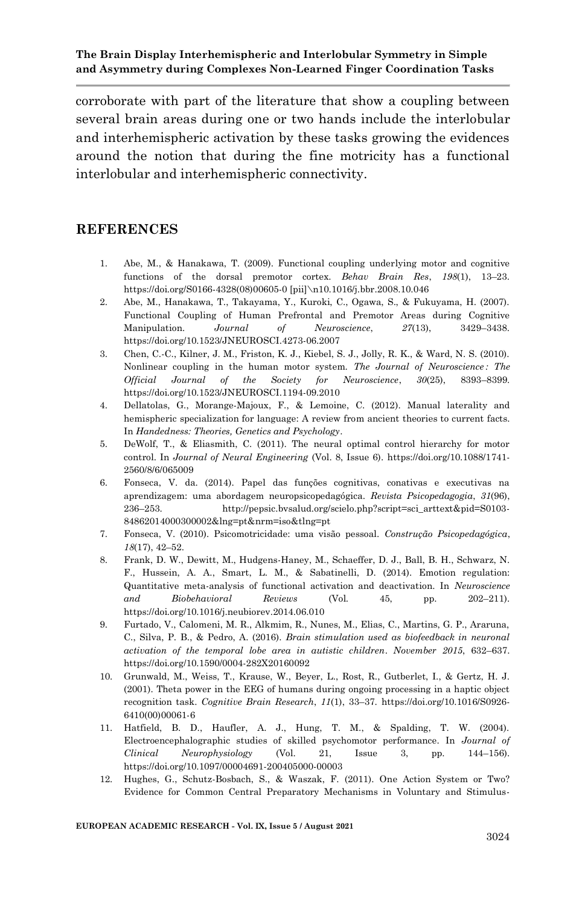corroborate with part of the literature that show a coupling between several brain areas during one or two hands include the interlobular and interhemispheric activation by these tasks growing the evidences around the notion that during the fine motricity has a functional interlobular and interhemispheric connectivity.

#### **REFERENCES**

- 1. Abe, M., & Hanakawa, T. (2009). Functional coupling underlying motor and cognitive functions of the dorsal premotor cortex. *Behav Brain Res*, *198*(1), 13–23. https://doi.org/S0166-4328(08)00605-0 [pii]\n10.1016/j.bbr.2008.10.046
- 2. Abe, M., Hanakawa, T., Takayama, Y., Kuroki, C., Ogawa, S., & Fukuyama, H. (2007). Functional Coupling of Human Prefrontal and Premotor Areas during Cognitive Manipulation. *Journal of Neuroscience*, *27*(13), 3429–3438. https://doi.org/10.1523/JNEUROSCI.4273-06.2007
- 3. Chen, C.-C., Kilner, J. M., Friston, K. J., Kiebel, S. J., Jolly, R. K., & Ward, N. S. (2010). Nonlinear coupling in the human motor system. *The Journal of Neuroscience : The Official Journal of the Society for Neuroscience*, *30*(25), 8393–8399. https://doi.org/10.1523/JNEUROSCI.1194-09.2010
- 4. Dellatolas, G., Morange-Majoux, F., & Lemoine, C. (2012). Manual laterality and hemispheric specialization for language: A review from ancient theories to current facts. In *Handedness: Theories, Genetics and Psychology*.
- 5. DeWolf, T., & Eliasmith, C. (2011). The neural optimal control hierarchy for motor control. In *Journal of Neural Engineering* (Vol. 8, Issue 6). https://doi.org/10.1088/1741- 2560/8/6/065009
- 6. Fonseca, V. da. (2014). Papel das funções cognitivas, conativas e executivas na aprendizagem: uma abordagem neuropsicopedagógica. *Revista Psicopedagogia*, *31*(96), 236–253. http://pepsic.bvsalud.org/scielo.php?script=sci\_arttext&pid=S0103- 84862014000300002&lng=pt&nrm=iso&tlng=pt
- 7. Fonseca, V. (2010). Psicomotricidade: uma visão pessoal. *Construção Psicopedagógica*, *18*(17), 42–52.
- 8. Frank, D. W., Dewitt, M., Hudgens-Haney, M., Schaeffer, D. J., Ball, B. H., Schwarz, N. F., Hussein, A. A., Smart, L. M., & Sabatinelli, D. (2014). Emotion regulation: Quantitative meta-analysis of functional activation and deactivation. In *Neuroscience and Biobehavioral Reviews* (Vol. 45, pp. 202–211). https://doi.org/10.1016/j.neubiorev.2014.06.010
- 9. Furtado, V., Calomeni, M. R., Alkmim, R., Nunes, M., Elias, C., Martins, G. P., Araruna, C., Silva, P. B., & Pedro, A. (2016). *Brain stimulation used as biofeedback in neuronal activation of the temporal lobe area in autistic children*. *November 2015*, 632–637. https://doi.org/10.1590/0004-282X20160092
- 10. Grunwald, M., Weiss, T., Krause, W., Beyer, L., Rost, R., Gutberlet, I., & Gertz, H. J. (2001). Theta power in the EEG of humans during ongoing processing in a haptic object recognition task. *Cognitive Brain Research*, *11*(1), 33–37. https://doi.org/10.1016/S0926- 6410(00)00061-6
- 11. Hatfield, B. D., Haufler, A. J., Hung, T. M., & Spalding, T. W. (2004). Electroencephalographic studies of skilled psychomotor performance. In *Journal of Clinical Neurophysiology* (Vol. 21, Issue 3, pp. 144–156). https://doi.org/10.1097/00004691-200405000-00003
- 12. Hughes, G., Schutz-Bosbach, S., & Waszak, F. (2011). One Action System or Two? Evidence for Common Central Preparatory Mechanisms in Voluntary and Stimulus-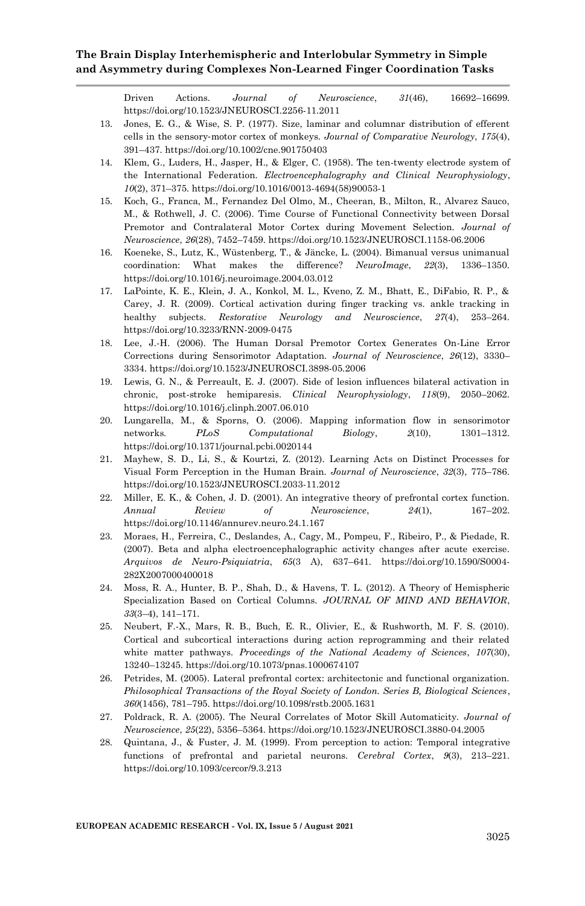Driven Actions. *Journal of Neuroscience*, *31*(46), 16692–16699. https://doi.org/10.1523/JNEUROSCI.2256-11.2011

- 13. Jones, E. G., & Wise, S. P. (1977). Size, laminar and columnar distribution of efferent cells in the sensory‐motor cortex of monkeys. *Journal of Comparative Neurology*, *175*(4), 391–437. https://doi.org/10.1002/cne.901750403
- 14. Klem, G., Luders, H., Jasper, H., & Elger, C. (1958). The ten-twenty electrode system of the International Federation. *Electroencephalography and Clinical Neurophysiology*, *10*(2), 371–375. https://doi.org/10.1016/0013-4694(58)90053-1
- 15. Koch, G., Franca, M., Fernandez Del Olmo, M., Cheeran, B., Milton, R., Alvarez Sauco, M., & Rothwell, J. C. (2006). Time Course of Functional Connectivity between Dorsal Premotor and Contralateral Motor Cortex during Movement Selection. *Journal of Neuroscience*, *26*(28), 7452–7459. https://doi.org/10.1523/JNEUROSCI.1158-06.2006
- 16. Koeneke, S., Lutz, K., Wüstenberg, T., & Jäncke, L. (2004). Bimanual versus unimanual coordination: What makes the difference? *NeuroImage*, *22*(3), 1336–1350. https://doi.org/10.1016/j.neuroimage.2004.03.012
- 17. LaPointe, K. E., Klein, J. A., Konkol, M. L., Kveno, Z. M., Bhatt, E., DiFabio, R. P., & Carey, J. R. (2009). Cortical activation during finger tracking vs. ankle tracking in healthy subjects. *Restorative Neurology and Neuroscience*, *27*(4), 253–264. https://doi.org/10.3233/RNN-2009-0475
- 18. Lee, J.-H. (2006). The Human Dorsal Premotor Cortex Generates On-Line Error Corrections during Sensorimotor Adaptation. *Journal of Neuroscience*, *26*(12), 3330– 3334. https://doi.org/10.1523/JNEUROSCI.3898-05.2006
- 19. Lewis, G. N., & Perreault, E. J. (2007). Side of lesion influences bilateral activation in chronic, post-stroke hemiparesis. *Clinical Neurophysiology*, *118*(9), 2050–2062. https://doi.org/10.1016/j.clinph.2007.06.010
- 20. Lungarella, M., & Sporns, O. (2006). Mapping information flow in sensorimotor networks. *PLoS Computational Biology*, *2*(10), 1301–1312. https://doi.org/10.1371/journal.pcbi.0020144
- 21. Mayhew, S. D., Li, S., & Kourtzi, Z. (2012). Learning Acts on Distinct Processes for Visual Form Perception in the Human Brain. *Journal of Neuroscience*, *32*(3), 775–786. https://doi.org/10.1523/JNEUROSCI.2033-11.2012
- 22. Miller, E. K., & Cohen, J. D. (2001). An integrative theory of prefrontal cortex function. *Annual Review of Neuroscience*, *24*(1), 167–202. https://doi.org/10.1146/annurev.neuro.24.1.167
- 23. Moraes, H., Ferreira, C., Deslandes, A., Cagy, M., Pompeu, F., Ribeiro, P., & Piedade, R. (2007). Beta and alpha electroencephalographic activity changes after acute exercise. *Arquivos de Neuro-Psiquiatria*, *65*(3 A), 637–641. https://doi.org/10.1590/S0004- 282X2007000400018
- 24. Moss, R. A., Hunter, B. P., Shah, D., & Havens, T. L. (2012). A Theory of Hemispheric Specialization Based on Cortical Columns. *JOURNAL OF MIND AND BEHAVIOR*, *33*(3–4), 141–171.
- 25. Neubert, F.-X., Mars, R. B., Buch, E. R., Olivier, E., & Rushworth, M. F. S. (2010). Cortical and subcortical interactions during action reprogramming and their related white matter pathways. *Proceedings of the National Academy of Sciences*, *107*(30), 13240–13245. https://doi.org/10.1073/pnas.1000674107
- 26. Petrides, M. (2005). Lateral prefrontal cortex: architectonic and functional organization. *Philosophical Transactions of the Royal Society of London. Series B, Biological Sciences*, *360*(1456), 781–795. https://doi.org/10.1098/rstb.2005.1631
- 27. Poldrack, R. A. (2005). The Neural Correlates of Motor Skill Automaticity. *Journal of Neuroscience*, *25*(22), 5356–5364. https://doi.org/10.1523/JNEUROSCI.3880-04.2005
- 28. Quintana, J., & Fuster, J. M. (1999). From perception to action: Temporal integrative functions of prefrontal and parietal neurons. *Cerebral Cortex*, *9*(3), 213–221. https://doi.org/10.1093/cercor/9.3.213